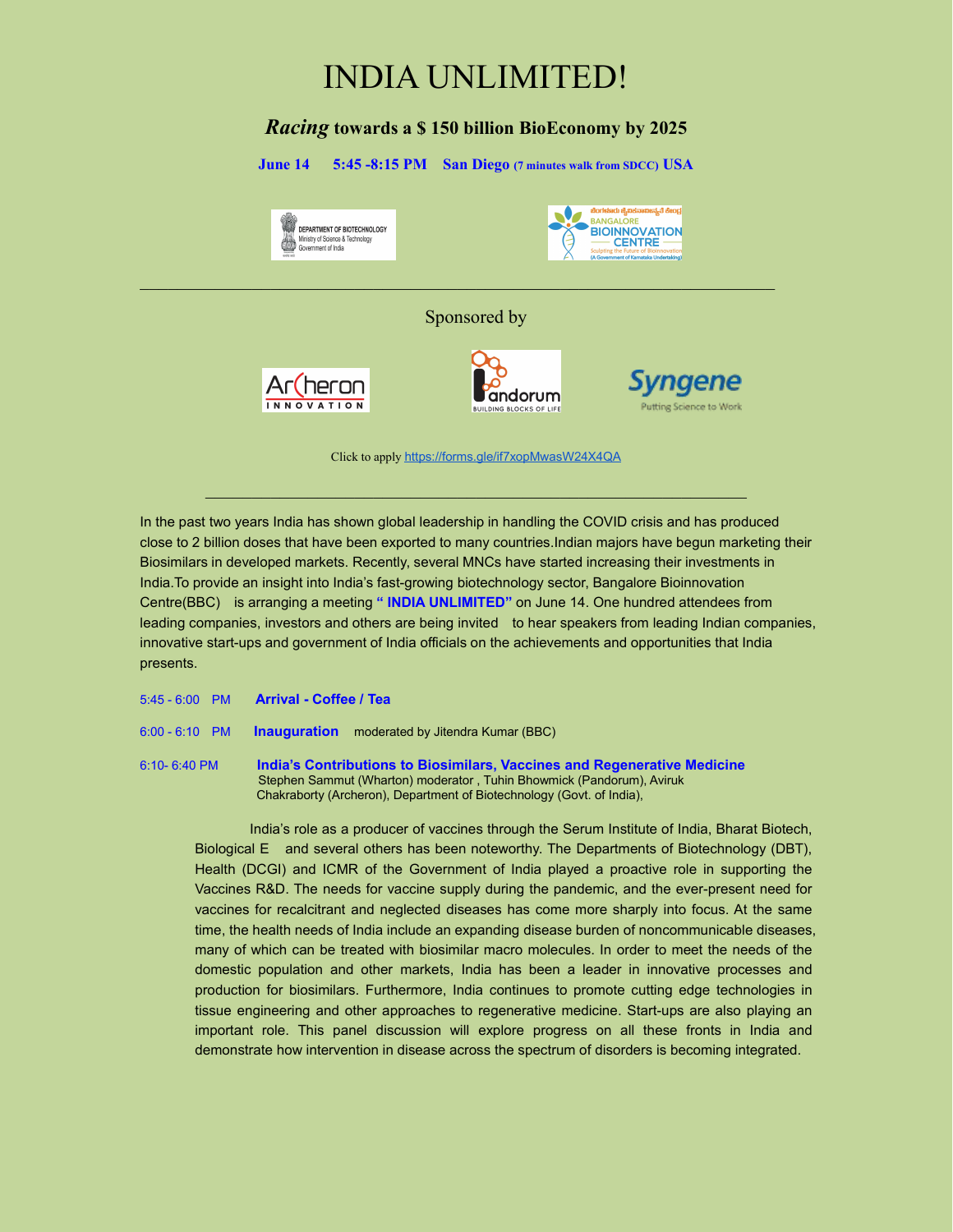# INDIA UNLIMITED!

## *Racing* **towardsa \$ 150 billion BioEconomy by 2025**

**June 14 5:45 -8:15 PM San Diego (7 minutes walk from SDCC) USA** ಚಿಂಗಳೂರು ಜಿ.ಐಕನಾಐeನ್ಯತೆ ಕೇಂ **PANGALOPE** DEPARTMENT OF BIOTECHNOLOGY **BIOINNOVATION** 4 Ministry of Science & Technology<br>Government of India **CENTRE** Sponsored by naene Ar(heron andorum **INNOVATION** 

Click to apply https://forms.gle/if7xopMwasW24X4QA

 $\mathcal{L}_\text{max}$  , and the contribution of the contribution of the contribution of the contribution of the contribution of the contribution of the contribution of the contribution of the contribution of the contribution of t

In the past two years India has shown global leadership in handling the COVID crisis and has produced close to 2 billion doses that have been exported to many countries.Indian majors have begun marketing their Biosimilars in developed markets. Recently, several MNCs have started increasing their investments in India.To provide an insight into India's fast-growing biotechnology sector, Bangalore Bioinnovation Centre(BBC) is arranging a meeting **" INDIA UNLIMITED"** on June 14. One hundred attendees from leading companies, investors and others are being invited to hear speakers from leading Indian companies, innovative start-ups and government of India officials on the achievements and opportunities that India presents.

- 5:45 6:00 PM **Arrival - Coffee / Tea**
- 6:00 6:10 PM **Inauguration** moderated by Jitendra Kumar (BBC)
- 6:10- 6:40 PM **India's Contributions to Biosimilars, Vaccines and Regenerative Medicine** Stephen Sammut (Wharton) moderator , Tuhin Bhowmick (Pandorum), Aviruk Chakraborty (Archeron), Department of Biotechnology (Govt. of India),

India's role as a producer of vaccines through the Serum Institute of India, Bharat Biotech, Biological E and several others has been noteworthy. The Departments of Biotechnology (DBT), Health (DCGI) and ICMR of the Government of India played a proactive role in supporting the Vaccines R&D. The needs for vaccine supply during the pandemic, and the ever-present need for vaccines for recalcitrant and neglected diseases has come more sharply into focus. At the same time, the health needs of India include an expanding disease burden of noncommunicable diseases, many of which can be treated with biosimilar macro molecules. In order to meet the needs of the domestic population and other markets, India has been a leader in innovative processes and production for biosimilars. Furthermore, India continues to promote cutting edge technologies in tissue engineering and other approaches to regenerative medicine. Start-ups are also playing an important role. This panel discussion will explore progress on all these fronts in India and demonstrate how intervention in disease across the spectrum of disorders is becoming integrated.